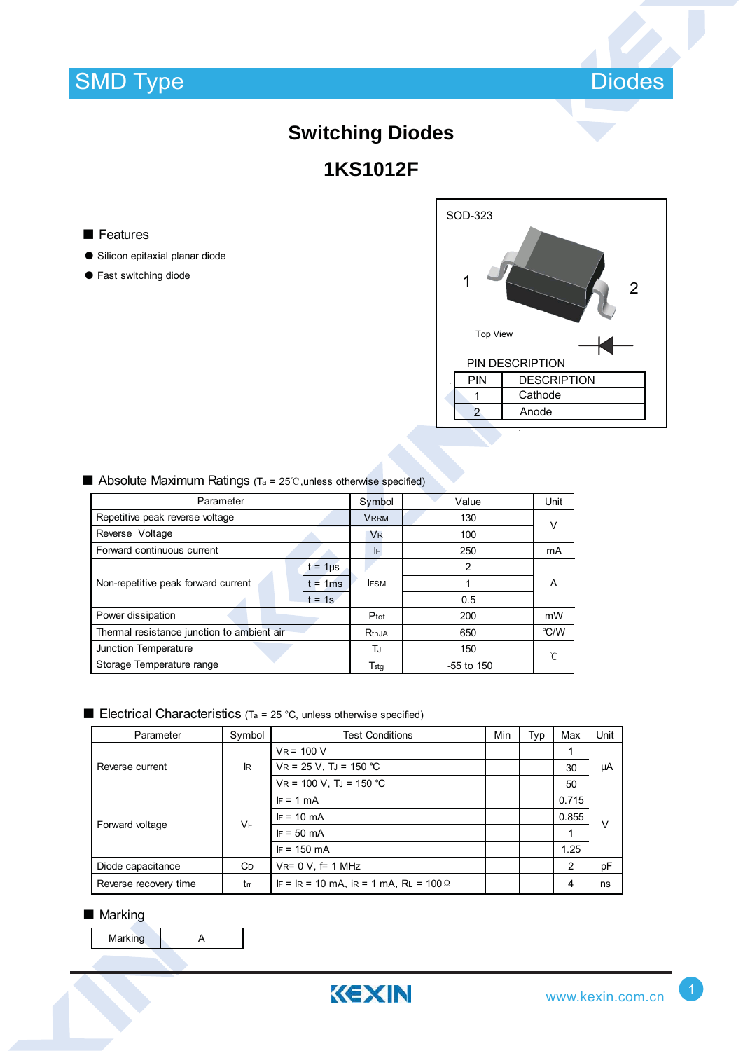

# **Switching Diodes 1KS1012F**

#### ■ Features

- ƽ Silicon epitaxial planar diode
- ƽ Fast switching diode

| SOD-323         |                    |  |  |  |
|-----------------|--------------------|--|--|--|
|                 | 2                  |  |  |  |
| <b>Top View</b> |                    |  |  |  |
|                 | PIN DESCRIPTION    |  |  |  |
| PIN             | <b>DESCRIPTION</b> |  |  |  |
|                 | Cathode            |  |  |  |
| $\overline{2}$  | Anode              |  |  |  |
|                 |                    |  |  |  |

| Parameter                                  | Symbol      | Value                | Unit         |        |  |
|--------------------------------------------|-------------|----------------------|--------------|--------|--|
| Repetitive peak reverse voltage            | <b>VRRM</b> | 130                  |              |        |  |
| Reverse Voltage                            |             | <b>V<sub>R</sub></b> | 100          | $\vee$ |  |
| Forward continuous current                 |             | <b>IF</b>            | 250          | mA     |  |
|                                            | $= 1µ$      |                      | 2            |        |  |
| Non-repetitive peak forward current        | $= 1ms$     | <b>IFSM</b>          |              | A      |  |
|                                            | $t = 1s$    |                      | 0.5          |        |  |
| Power dissipation                          | Ptot        | 200                  | mW           |        |  |
| Thermal resistance junction to ambient air | RthJA       | 650                  | °C/W         |        |  |
| Junction Temperature                       | TJ          | 150                  | °C           |        |  |
| Storage Temperature range                  |             | Tstq                 | $-55$ to 150 |        |  |

### $\blacksquare$  Absolute Maximum Ratings (Ta = 25°C, unless otherwise specified)

## $\blacksquare$  Electrical Characteristics (Ta = 25 °C, unless otherwise specified)

| Parameter             | Symbol     | <b>Test Conditions</b>                        | Min | Typ | Max            | Unit   |  |
|-----------------------|------------|-----------------------------------------------|-----|-----|----------------|--------|--|
| Reverse current       | <b>IR</b>  | $V_R = 100 V$                                 |     |     |                |        |  |
|                       |            | $VR = 25 V$ , TJ = 150 °C                     |     |     | 30             | μA     |  |
|                       |            | $VR = 100 V$ , TJ = 150 °C                    |     |     | 50             |        |  |
| Forward voltage       | <b>VF</b>  | $IF = 1 mA$                                   |     |     | 0.715          | $\vee$ |  |
|                       |            | $IF = 10 mA$                                  |     |     | 0.855          |        |  |
|                       |            | $IF = 50 mA$                                  |     |     |                |        |  |
|                       |            | $IF = 150 mA$                                 |     |     | 1.25           |        |  |
| Diode capacitance     | <b>C</b> D | $V_{R} = 0 V$ , f= 1 MHz                      |     |     | $\overline{2}$ | pF     |  |
| Reverse recovery time | tm         | IF = IR = 10 mA, iR = 1 mA, RL = $100 \Omega$ |     |     | 4              | ns     |  |

#### ■ Marking

Marking A

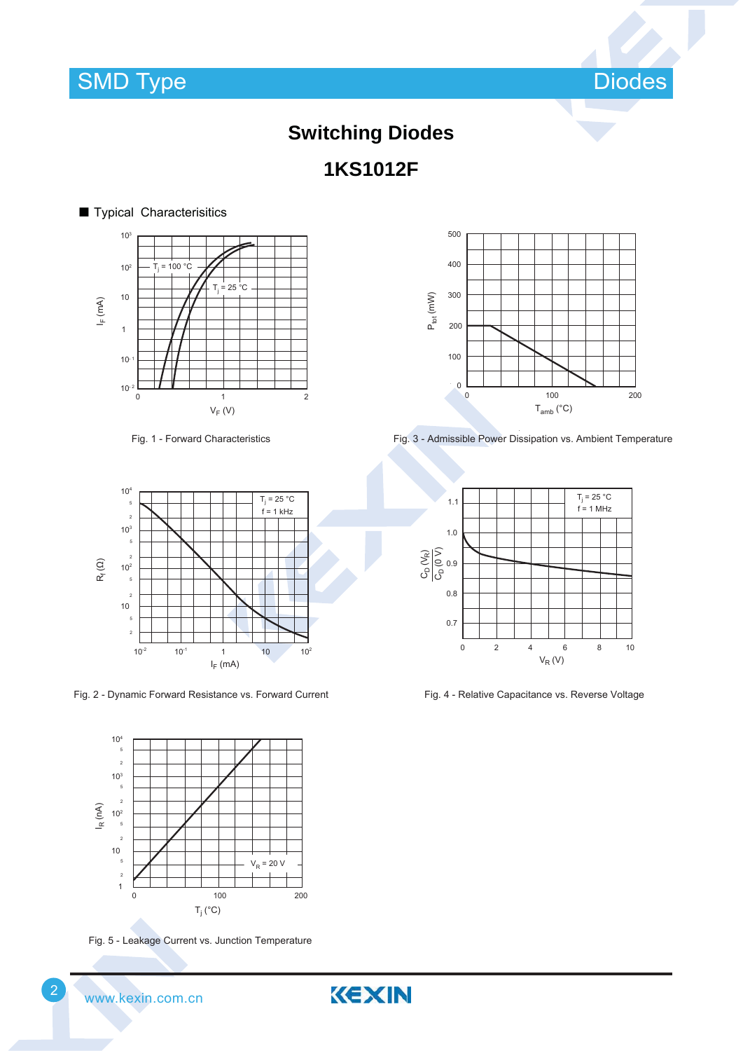

# **Switching Diodes 1KS1012F**

#### ■ Typical Characterisitics  $I_F$  (mA)  $V_F$  (V) Tj  $= 100 °C$ Tj  $= 25 °C$  $10^{-2}$  L<br>0 10- 1  $10<sup>2</sup>$ 103 1 10 0 1 2

Fig. 1 - Forward Characteristics



Fig. 2 - Dynamic Forward Resistance vs. Forward Current



Fig. 5 - Leakage Current vs. Junction Temperature



Fig. 3 - Admissible Power Dissipation vs. Ambient Temperature



Fig. 4 - Relative Capacitance vs. Reverse Voltage